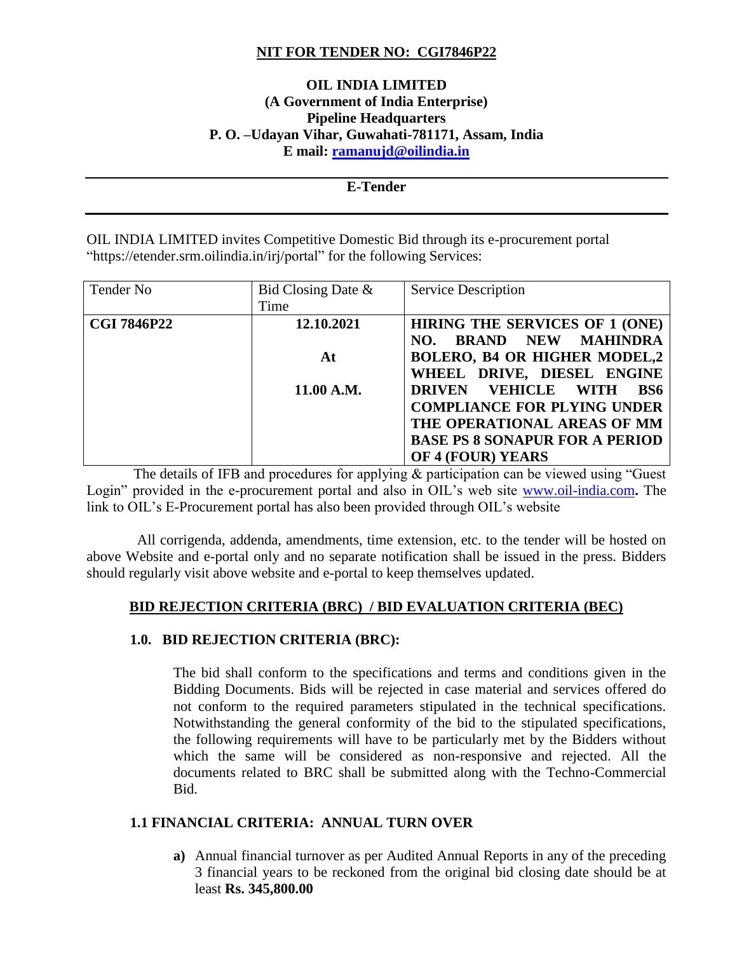# **NIT FOR TENDER NO: CGI7846P22**

# **OIL INDIA LIMITED (A Government of India Enterprise) Pipeline Headquarters P. O. –Udayan Vihar, Guwahati-781171, Assam, India E mail: [ramanujd@oilindia.in](mailto:ramanujd@oilindia.in)**

#### **E-Tender**

OIL INDIA LIMITED invites Competitive Domestic Bid through its e-procurement portal "https://etender.srm.oilindia.in/irj/portal" for the following Services:

| Tender No          | Bid Closing Date $\&$ | <b>Service Description</b>                         |
|--------------------|-----------------------|----------------------------------------------------|
|                    | Time                  |                                                    |
| <b>CGI 7846P22</b> | 12.10.2021            | <b>HIRING THE SERVICES OF 1 (ONE)</b>              |
|                    |                       | <b>BRAND NEW</b><br>MAHINDRA<br>NO.                |
|                    | At                    | <b>BOLERO, B4 OR HIGHER MODEL,2</b>                |
|                    |                       | WHEEL DRIVE, DIESEL ENGINE                         |
|                    | 11.00 A.M.            | <b>VEHICLE WITH</b><br><b>DRIVEN</b><br><b>BS6</b> |
|                    |                       | <b>COMPLIANCE FOR PLYING UNDER</b>                 |
|                    |                       | THE OPERATIONAL AREAS OF MM                        |
|                    |                       | <b>BASE PS 8 SONAPUR FOR A PERIOD</b>              |
|                    |                       | OF 4 (FOUR) YEARS                                  |

 The details of IFB and procedures for applying & participation can be viewed using "Guest Login" provided in the e-procurement portal and also in OIL's web site [www.oil-india.com](http://www.oil-india.com/)**.** The link to OIL's E-Procurement portal has also been provided through OIL's website

 All corrigenda, addenda, amendments, time extension, etc. to the tender will be hosted on above Website and e-portal only and no separate notification shall be issued in the press. Bidders should regularly visit above website and e-portal to keep themselves updated.

## **BID REJECTION CRITERIA (BRC) / BID EVALUATION CRITERIA (BEC)**

## **1.0. BID REJECTION CRITERIA (BRC):**

The bid shall conform to the specifications and terms and conditions given in the Bidding Documents. Bids will be rejected in case material and services offered do not conform to the required parameters stipulated in the technical specifications. Notwithstanding the general conformity of the bid to the stipulated specifications, the following requirements will have to be particularly met by the Bidders without which the same will be considered as non-responsive and rejected. All the documents related to BRC shall be submitted along with the Techno-Commercial Bid.

# **1.1 FINANCIAL CRITERIA: ANNUAL TURN OVER**

**a)** Annual financial turnover as per Audited Annual Reports in any of the preceding 3 financial years to be reckoned from the original bid closing date should be at least **Rs. 345,800.00**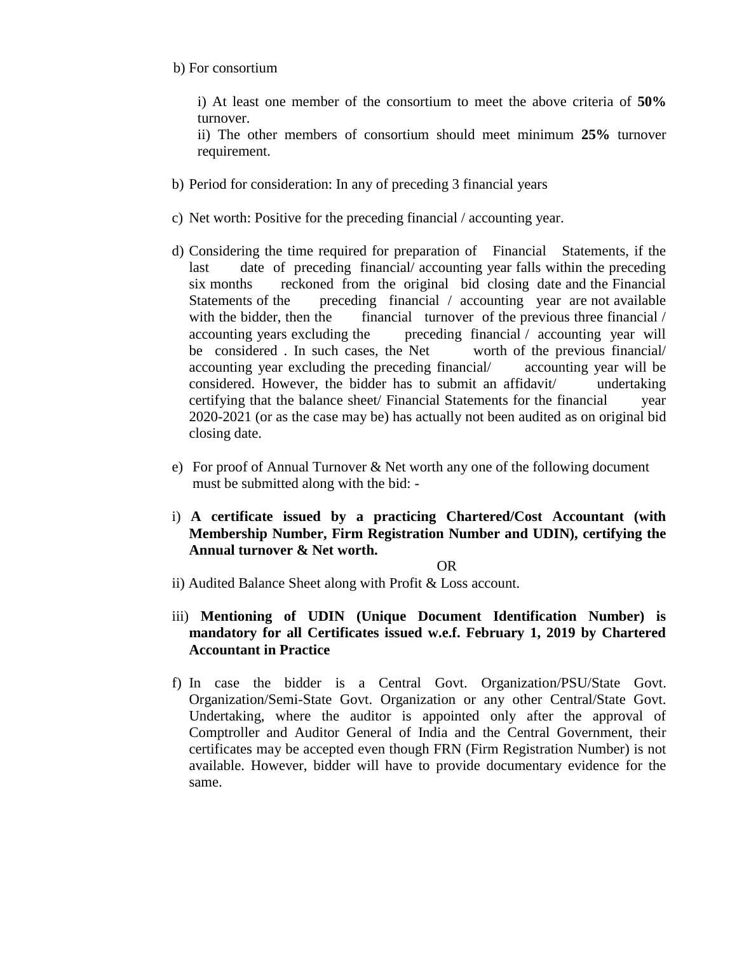b) For consortium

i) At least one member of the consortium to meet the above criteria of **50%** turnover.

ii) The other members of consortium should meet minimum **25%** turnover requirement.

- b) Period for consideration: In any of preceding 3 financial years
- c) Net worth: Positive for the preceding financial / accounting year.
- d) Considering the time required for preparation of Financial Statements, if the last date of preceding financial/ accounting year falls within the preceding six months reckoned from the original bid closing date and the Financial Statements of the preceding financial / accounting year are not available with the bidder, then the financial turnover of the previous three financial  $/$ accounting years excluding the preceding financial / accounting year will be considered . In such cases, the Net worth of the previous financial/ accounting year excluding the preceding financial/ accounting year will be considered. However, the bidder has to submit an affidavit/ undertaking certifying that the balance sheet/ Financial Statements for the financial year 2020-2021 (or as the case may be) has actually not been audited as on original bid closing date.
- e) For proof of Annual Turnover & Net worth any one of the following document must be submitted along with the bid: -
- i) **A certificate issued by a practicing Chartered/Cost Accountant (with Membership Number, Firm Registration Number and UDIN), certifying the Annual turnover & Net worth.**

#### **OR**

- ii) Audited Balance Sheet along with Profit & Loss account.
- iii) **Mentioning of UDIN (Unique Document Identification Number) is mandatory for all Certificates issued w.e.f. February 1, 2019 by Chartered Accountant in Practice**
- f) In case the bidder is a Central Govt. Organization/PSU/State Govt. Organization/Semi-State Govt. Organization or any other Central/State Govt. Undertaking, where the auditor is appointed only after the approval of Comptroller and Auditor General of India and the Central Government, their certificates may be accepted even though FRN (Firm Registration Number) is not available. However, bidder will have to provide documentary evidence for the same.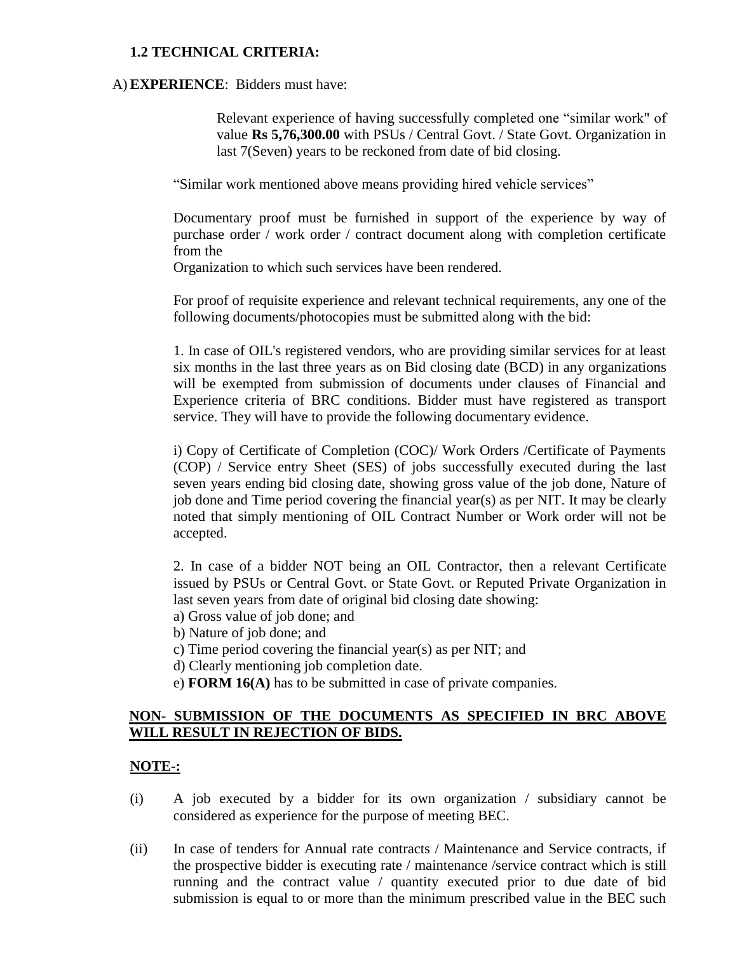## **1.2 TECHNICAL CRITERIA:**

#### A)**EXPERIENCE**: Bidders must have:

Relevant experience of having successfully completed one "similar work" of value **Rs 5,76,300.00** with PSUs / Central Govt. / State Govt. Organization in last 7(Seven) years to be reckoned from date of bid closing.

"Similar work mentioned above means providing hired vehicle services"

Documentary proof must be furnished in support of the experience by way of purchase order / work order / contract document along with completion certificate from the

Organization to which such services have been rendered.

For proof of requisite experience and relevant technical requirements, any one of the following documents/photocopies must be submitted along with the bid:

1. In case of OIL's registered vendors, who are providing similar services for at least six months in the last three years as on Bid closing date (BCD) in any organizations will be exempted from submission of documents under clauses of Financial and Experience criteria of BRC conditions. Bidder must have registered as transport service. They will have to provide the following documentary evidence.

i) Copy of Certificate of Completion (COC)/ Work Orders /Certificate of Payments (COP) / Service entry Sheet (SES) of jobs successfully executed during the last seven years ending bid closing date, showing gross value of the job done, Nature of job done and Time period covering the financial year(s) as per NIT. It may be clearly noted that simply mentioning of OIL Contract Number or Work order will not be accepted.

2. In case of a bidder NOT being an OIL Contractor, then a relevant Certificate issued by PSUs or Central Govt. or State Govt. or Reputed Private Organization in last seven years from date of original bid closing date showing:

- a) Gross value of job done; and
- b) Nature of job done; and
- c) Time period covering the financial year(s) as per NIT; and
- d) Clearly mentioning job completion date.
- e) **FORM 16(A)** has to be submitted in case of private companies.

# **NON- SUBMISSION OF THE DOCUMENTS AS SPECIFIED IN BRC ABOVE WILL RESULT IN REJECTION OF BIDS.**

## **NOTE-:**

- (i) A job executed by a bidder for its own organization / subsidiary cannot be considered as experience for the purpose of meeting BEC.
- (ii) In case of tenders for Annual rate contracts / Maintenance and Service contracts, if the prospective bidder is executing rate / maintenance /service contract which is still running and the contract value / quantity executed prior to due date of bid submission is equal to or more than the minimum prescribed value in the BEC such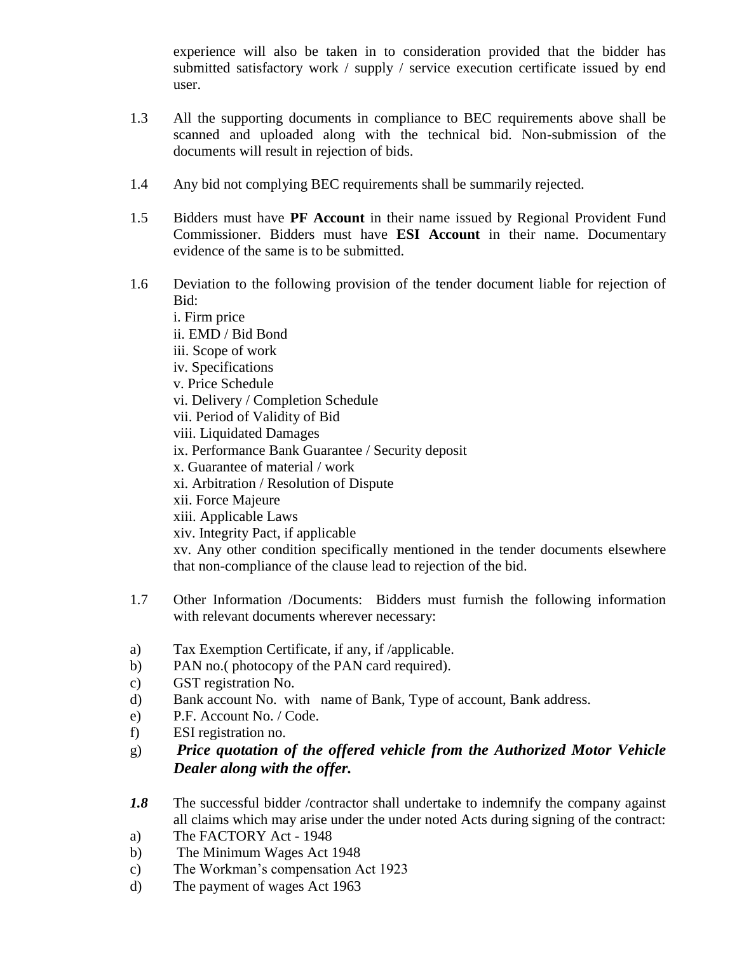experience will also be taken in to consideration provided that the bidder has submitted satisfactory work / supply / service execution certificate issued by end user.

- 1.3 All the supporting documents in compliance to BEC requirements above shall be scanned and uploaded along with the technical bid. Non-submission of the documents will result in rejection of bids.
- 1.4 Any bid not complying BEC requirements shall be summarily rejected.
- 1.5 Bidders must have **PF Account** in their name issued by Regional Provident Fund Commissioner. Bidders must have **ESI Account** in their name. Documentary evidence of the same is to be submitted.
- 1.6 Deviation to the following provision of the tender document liable for rejection of Bid:

i. Firm price ii. EMD / Bid Bond iii. Scope of work iv. Specifications v. Price Schedule vi. Delivery / Completion Schedule vii. Period of Validity of Bid viii. Liquidated Damages ix. Performance Bank Guarantee / Security deposit x. Guarantee of material / work xi. Arbitration / Resolution of Dispute xii. Force Majeure xiii. Applicable Laws xiv. Integrity Pact, if applicable xv. Any other condition specifically mentioned in the tender documents elsewhere that non-compliance of the clause lead to rejection of the bid.

- 1.7 Other Information /Documents: Bidders must furnish the following information with relevant documents wherever necessary:
- a) Tax Exemption Certificate, if any, if /applicable.
- b) PAN no.( photocopy of the PAN card required).
- c) GST registration No.
- d) Bank account No. with name of Bank, Type of account, Bank address.
- e) P.F. Account No. / Code.
- f) ESI registration no.
- g) *Price quotation of the offered vehicle from the Authorized Motor Vehicle Dealer along with the offer.*
- *1.8* The successful bidder /contractor shall undertake to indemnify the company against all claims which may arise under the under noted Acts during signing of the contract:
- a) The FACTORY Act 1948
- b) The Minimum Wages Act 1948
- c) The Workman's compensation Act 1923
- d) The payment of wages Act 1963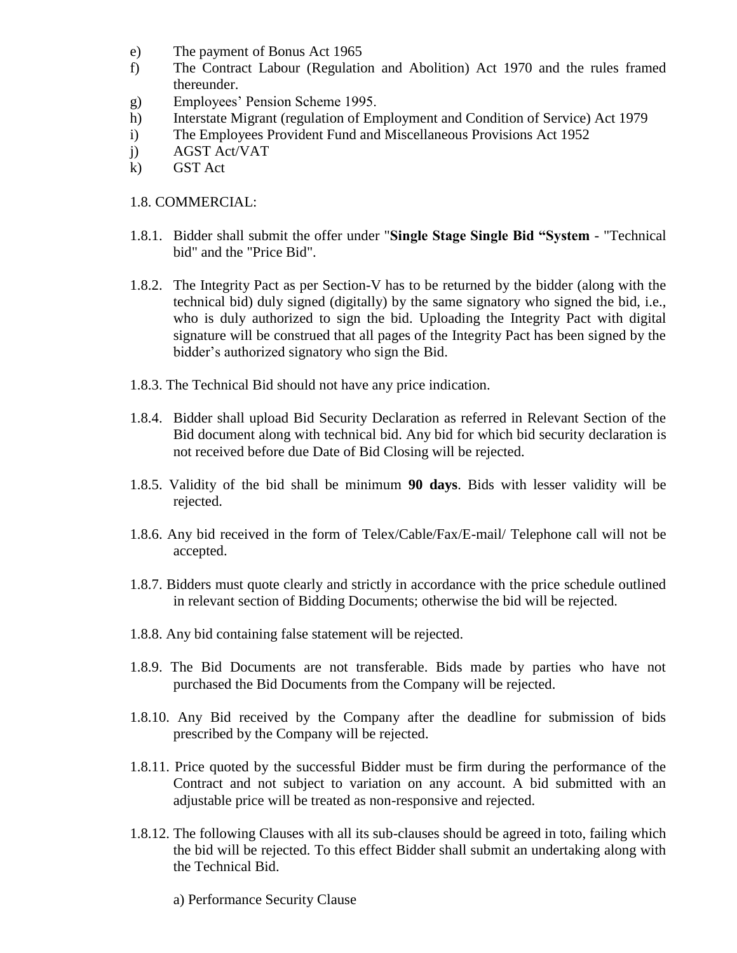- e) The payment of Bonus Act 1965
- f) The Contract Labour (Regulation and Abolition) Act 1970 and the rules framed thereunder.
- g) Employees' Pension Scheme 1995.
- h) Interstate Migrant (regulation of Employment and Condition of Service) Act 1979
- i) The Employees Provident Fund and Miscellaneous Provisions Act 1952
- j) AGST Act/VAT
- k) GST Act

#### 1.8. COMMERCIAL:

- 1.8.1. Bidder shall submit the offer under "**Single Stage Single Bid "System** "Technical bid" and the "Price Bid".
- 1.8.2. The Integrity Pact as per Section-V has to be returned by the bidder (along with the technical bid) duly signed (digitally) by the same signatory who signed the bid, i.e., who is duly authorized to sign the bid. Uploading the Integrity Pact with digital signature will be construed that all pages of the Integrity Pact has been signed by the bidder's authorized signatory who sign the Bid.
- 1.8.3. The Technical Bid should not have any price indication.
- 1.8.4. Bidder shall upload Bid Security Declaration as referred in Relevant Section of the Bid document along with technical bid. Any bid for which bid security declaration is not received before due Date of Bid Closing will be rejected.
- 1.8.5. Validity of the bid shall be minimum **90 days**. Bids with lesser validity will be rejected.
- 1.8.6. Any bid received in the form of Telex/Cable/Fax/E-mail/ Telephone call will not be accepted.
- 1.8.7. Bidders must quote clearly and strictly in accordance with the price schedule outlined in relevant section of Bidding Documents; otherwise the bid will be rejected.
- 1.8.8. Any bid containing false statement will be rejected.
- 1.8.9. The Bid Documents are not transferable. Bids made by parties who have not purchased the Bid Documents from the Company will be rejected.
- 1.8.10. Any Bid received by the Company after the deadline for submission of bids prescribed by the Company will be rejected.
- 1.8.11. Price quoted by the successful Bidder must be firm during the performance of the Contract and not subject to variation on any account. A bid submitted with an adjustable price will be treated as non-responsive and rejected.
- 1.8.12. The following Clauses with all its sub-clauses should be agreed in toto, failing which the bid will be rejected. To this effect Bidder shall submit an undertaking along with the Technical Bid.
	- a) Performance Security Clause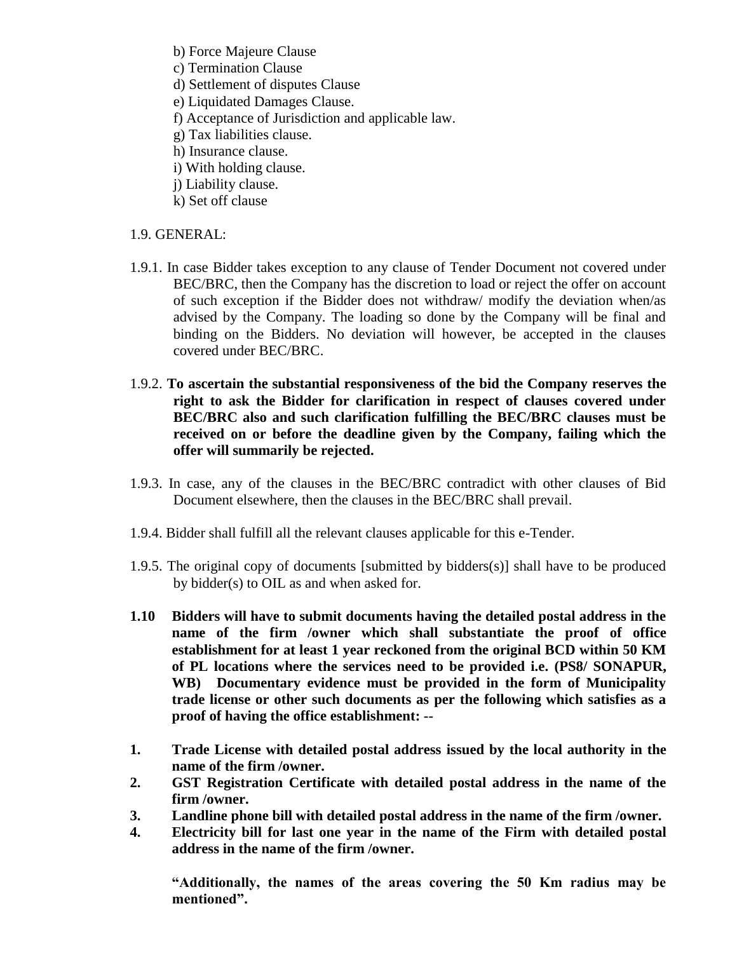b) Force Majeure Clause

- c) Termination Clause
- d) Settlement of disputes Clause
- e) Liquidated Damages Clause.
- f) Acceptance of Jurisdiction and applicable law.
- g) Tax liabilities clause.
- h) Insurance clause.
- i) With holding clause.
- j) Liability clause.
- k) Set off clause

# 1.9. GENERAL:

- 1.9.1. In case Bidder takes exception to any clause of Tender Document not covered under BEC/BRC, then the Company has the discretion to load or reject the offer on account of such exception if the Bidder does not withdraw/ modify the deviation when/as advised by the Company. The loading so done by the Company will be final and binding on the Bidders. No deviation will however, be accepted in the clauses covered under BEC/BRC.
- 1.9.2. **To ascertain the substantial responsiveness of the bid the Company reserves the right to ask the Bidder for clarification in respect of clauses covered under BEC/BRC also and such clarification fulfilling the BEC/BRC clauses must be received on or before the deadline given by the Company, failing which the offer will summarily be rejected.**
- 1.9.3. In case, any of the clauses in the BEC/BRC contradict with other clauses of Bid Document elsewhere, then the clauses in the BEC/BRC shall prevail.
- 1.9.4. Bidder shall fulfill all the relevant clauses applicable for this e-Tender.
- 1.9.5. The original copy of documents [submitted by bidders(s)] shall have to be produced by bidder(s) to OIL as and when asked for.
- **1.10 Bidders will have to submit documents having the detailed postal address in the name of the firm /owner which shall substantiate the proof of office establishment for at least 1 year reckoned from the original BCD within 50 KM of PL locations where the services need to be provided i.e. (PS8/ SONAPUR, WB) Documentary evidence must be provided in the form of Municipality trade license or other such documents as per the following which satisfies as a proof of having the office establishment: --**
- **1. Trade License with detailed postal address issued by the local authority in the name of the firm /owner.**
- **2. GST Registration Certificate with detailed postal address in the name of the firm /owner.**
- **3. Landline phone bill with detailed postal address in the name of the firm /owner.**
- **4. Electricity bill for last one year in the name of the Firm with detailed postal address in the name of the firm /owner.**

**"Additionally, the names of the areas covering the 50 Km radius may be mentioned".**